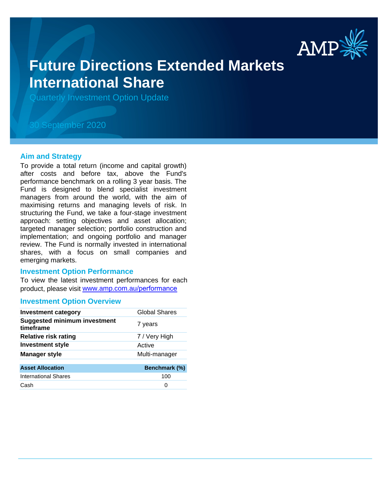

# **Future Directions Extended Markets International Share**

Quarterly Investment Option Update

## 30 September 2020

#### **Aim and Strategy**

To provide a total return (income and capital growth) after costs and before tax, above the Fund's performance benchmark on a rolling 3 year basis. The Fund is designed to blend specialist investment managers from around the world, with the aim of maximising returns and managing levels of risk. In structuring the Fund, we take a four-stage investment approach: setting objectives and asset allocation; targeted manager selection; portfolio construction and implementation; and ongoing portfolio and manager review. The Fund is normally invested in international shares, with a focus on small companies and emerging markets.

#### **Investment Option Performance**

To view the latest investment performances for each product, please visit www.amp.com.au/performance

#### **Investment Option Overview**

| <b>Investment category</b>                       | Global Shares |
|--------------------------------------------------|---------------|
| <b>Suggested minimum investment</b><br>timeframe | 7 years       |
| <b>Relative risk rating</b>                      | 7 / Very High |
| <b>Investment style</b>                          | Active        |
| <b>Manager style</b>                             | Multi-manager |
| <b>Asset Allocation</b>                          | Benchmark (%) |
| <b>International Shares</b>                      | 100           |
| Cash                                             | O             |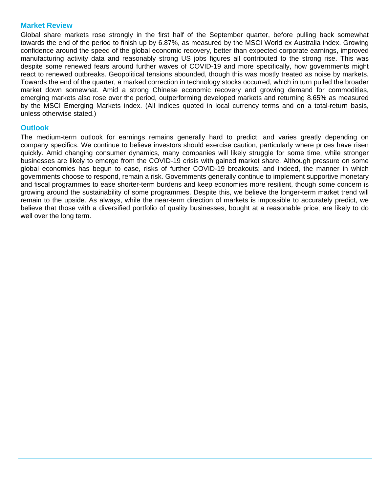### **Market Review**

Global share markets rose strongly in the first half of the September quarter, before pulling back somewhat towards the end of the period to finish up by 6.87%, as measured by the MSCI World ex Australia index. Growing confidence around the speed of the global economic recovery, better than expected corporate earnings, improved manufacturing activity data and reasonably strong US jobs figures all contributed to the strong rise. This was despite some renewed fears around further waves of COVID-19 and more specifically, how governments might react to renewed outbreaks. Geopolitical tensions abounded, though this was mostly treated as noise by markets. Towards the end of the quarter, a marked correction in technology stocks occurred, which in turn pulled the broader market down somewhat. Amid a strong Chinese economic recovery and growing demand for commodities, emerging markets also rose over the period, outperforming developed markets and returning 8.65% as measured by the MSCI Emerging Markets index. (All indices quoted in local currency terms and on a total-return basis, unless otherwise stated.)

## **Outlook**

The medium-term outlook for earnings remains generally hard to predict; and varies greatly depending on company specifics. We continue to believe investors should exercise caution, particularly where prices have risen quickly. Amid changing consumer dynamics, many companies will likely struggle for some time, while stronger businesses are likely to emerge from the COVID-19 crisis with gained market share. Although pressure on some global economies has begun to ease, risks of further COVID-19 breakouts; and indeed, the manner in which governments choose to respond, remain a risk. Governments generally continue to implement supportive monetary and fiscal programmes to ease shorter-term burdens and keep economies more resilient, though some concern is growing around the sustainability of some programmes. Despite this, we believe the longer-term market trend will remain to the upside. As always, while the near-term direction of markets is impossible to accurately predict, we believe that those with a diversified portfolio of quality businesses, bought at a reasonable price, are likely to do well over the long term.